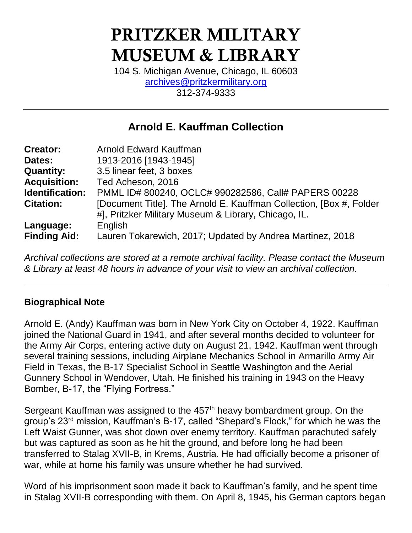# PRITZKER MILITARY MUSEUM & LIBRARY

104 S. Michigan Avenue, Chicago, IL 60603 [archives@pritzkermilitary.org](mailto:archives@pritzkermilitary.org) 312-374-9333

## **Arnold E. Kauffman Collection**

| <b>Creator:</b>     | Arnold Edward Kauffman                                               |
|---------------------|----------------------------------------------------------------------|
| Dates:              | 1913-2016 [1943-1945]                                                |
| <b>Quantity:</b>    | 3.5 linear feet, 3 boxes                                             |
| <b>Acquisition:</b> | Ted Acheson, 2016                                                    |
| Identification:     | PMML ID# 800240, OCLC# 990282586, Call# PAPERS 00228                 |
| <b>Citation:</b>    | [Document Title]. The Arnold E. Kauffman Collection, [Box #, Folder] |
|                     | #], Pritzker Military Museum & Library, Chicago, IL.                 |
| Language:           | English                                                              |
| <b>Finding Aid:</b> | Lauren Tokarewich, 2017; Updated by Andrea Martinez, 2018            |

*Archival collections are stored at a remote archival facility. Please contact the Museum & Library at least 48 hours in advance of your visit to view an archival collection.*

#### **Biographical Note**

Arnold E. (Andy) Kauffman was born in New York City on October 4, 1922. Kauffman joined the National Guard in 1941, and after several months decided to volunteer for the Army Air Corps, entering active duty on August 21, 1942. Kauffman went through several training sessions, including Airplane Mechanics School in Armarillo Army Air Field in Texas, the B-17 Specialist School in Seattle Washington and the Aerial Gunnery School in Wendover, Utah. He finished his training in 1943 on the Heavy Bomber, B-17, the "Flying Fortress."

Sergeant Kauffman was assigned to the 457<sup>th</sup> heavy bombardment group. On the group's 23rd mission, Kauffman's B-17, called "Shepard's Flock," for which he was the Left Waist Gunner, was shot down over enemy territory. Kauffman parachuted safely but was captured as soon as he hit the ground, and before long he had been transferred to Stalag XVII-B, in Krems, Austria. He had officially become a prisoner of war, while at home his family was unsure whether he had survived.

Word of his imprisonment soon made it back to Kauffman's family, and he spent time in Stalag XVII-B corresponding with them. On April 8, 1945, his German captors began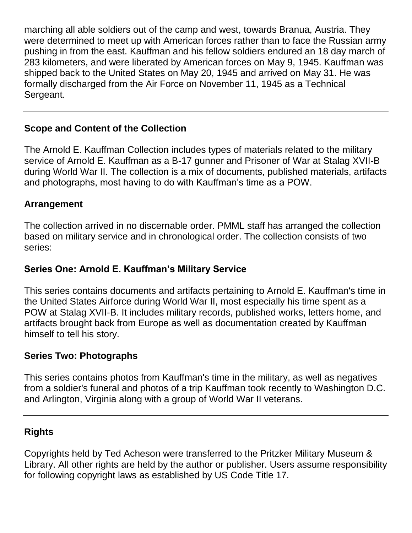marching all able soldiers out of the camp and west, towards Branua, Austria. They were determined to meet up with American forces rather than to face the Russian army pushing in from the east. Kauffman and his fellow soldiers endured an 18 day march of 283 kilometers, and were liberated by American forces on May 9, 1945. Kauffman was shipped back to the United States on May 20, 1945 and arrived on May 31. He was formally discharged from the Air Force on November 11, 1945 as a Technical Sergeant.

## **Scope and Content of the Collection**

The Arnold E. Kauffman Collection includes types of materials related to the military service of Arnold E. Kauffman as a B-17 gunner and Prisoner of War at Stalag XVII-B during World War II. The collection is a mix of documents, published materials, artifacts and photographs, most having to do with Kauffman's time as a POW.

#### **Arrangement**

The collection arrived in no discernable order. PMML staff has arranged the collection based on military service and in chronological order. The collection consists of two series:

#### **Series One: Arnold E. Kauffman's Military Service**

This series contains documents and artifacts pertaining to Arnold E. Kauffman's time in the United States Airforce during World War II, most especially his time spent as a POW at Stalag XVII-B. It includes military records, published works, letters home, and artifacts brought back from Europe as well as documentation created by Kauffman himself to tell his story.

#### **Series Two: Photographs**

This series contains photos from Kauffman's time in the military, as well as negatives from a soldier's funeral and photos of a trip Kauffman took recently to Washington D.C. and Arlington, Virginia along with a group of World War II veterans.

## **Rights**

Copyrights held by Ted Acheson were transferred to the Pritzker Military Museum & Library. All other rights are held by the author or publisher. Users assume responsibility for following copyright laws as established by US Code Title 17.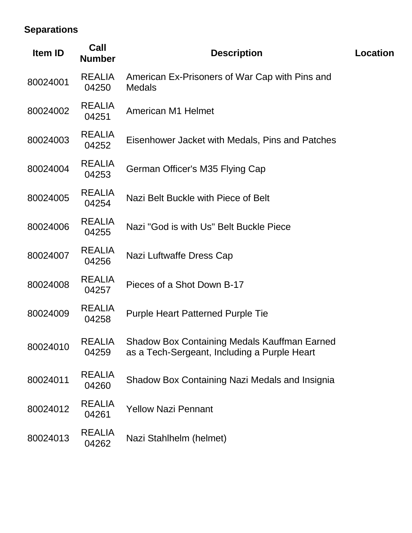# **Separations**

| Item ID  | Call<br><b>Number</b>  | <b>Description</b>                                                                           | <b>Location</b> |
|----------|------------------------|----------------------------------------------------------------------------------------------|-----------------|
| 80024001 | <b>REALIA</b><br>04250 | American Ex-Prisoners of War Cap with Pins and<br><b>Medals</b>                              |                 |
| 80024002 | REALIA<br>04251        | <b>American M1 Helmet</b>                                                                    |                 |
| 80024003 | <b>REALIA</b><br>04252 | Eisenhower Jacket with Medals, Pins and Patches                                              |                 |
| 80024004 | <b>REALIA</b><br>04253 | German Officer's M35 Flying Cap                                                              |                 |
| 80024005 | <b>REALIA</b><br>04254 | Nazi Belt Buckle with Piece of Belt                                                          |                 |
| 80024006 | <b>REALIA</b><br>04255 | Nazi "God is with Us" Belt Buckle Piece                                                      |                 |
| 80024007 | REALIA<br>04256        | Nazi Luftwaffe Dress Cap                                                                     |                 |
| 80024008 | <b>REALIA</b><br>04257 | Pieces of a Shot Down B-17                                                                   |                 |
| 80024009 | <b>REALIA</b><br>04258 | <b>Purple Heart Patterned Purple Tie</b>                                                     |                 |
| 80024010 | <b>REALIA</b><br>04259 | Shadow Box Containing Medals Kauffman Earned<br>as a Tech-Sergeant, Including a Purple Heart |                 |
| 80024011 | <b>REALIA</b><br>04260 | Shadow Box Containing Nazi Medals and Insignia                                               |                 |
| 80024012 | <b>REALIA</b><br>04261 | <b>Yellow Nazi Pennant</b>                                                                   |                 |
| 80024013 | <b>REALIA</b><br>04262 | Nazi Stahlhelm (helmet)                                                                      |                 |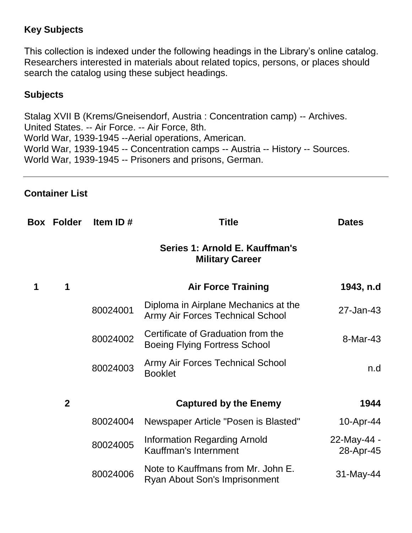## **Key Subjects**

This collection is indexed under the following headings in the Library's online catalog. Researchers interested in materials about related topics, persons, or places should search the catalog using these subject headings.

#### **Subjects**

Stalag XVII B (Krems/Gneisendorf, Austria : Concentration camp) -- Archives. United States. -- Air Force. -- Air Force, 8th. World War, 1939-1945 --Aerial operations, American. World War, 1939-1945 -- Concentration camps -- Austria -- History -- Sources. World War, 1939-1945 -- Prisoners and prisons, German.

#### **Container List**

|   | <b>Box Folder</b> | Item ID# | <b>Title</b>                                                                    | <b>Dates</b>             |
|---|-------------------|----------|---------------------------------------------------------------------------------|--------------------------|
|   |                   |          | Series 1: Arnold E. Kauffman's<br><b>Military Career</b>                        |                          |
| 1 | 1                 |          | <b>Air Force Training</b>                                                       | 1943, n.d                |
|   |                   | 80024001 | Diploma in Airplane Mechanics at the<br><b>Army Air Forces Technical School</b> | 27-Jan-43                |
|   |                   | 80024002 | Certificate of Graduation from the<br><b>Boeing Flying Fortress School</b>      | 8-Mar-43                 |
|   |                   | 80024003 | Army Air Forces Technical School<br><b>Booklet</b>                              | n.d                      |
|   | $\boldsymbol{2}$  |          | <b>Captured by the Enemy</b>                                                    | 1944                     |
|   |                   | 80024004 | Newspaper Article "Posen is Blasted"                                            | 10-Apr-44                |
|   |                   | 80024005 | Information Regarding Arnold<br>Kauffman's Internment                           | 22-May-44 -<br>28-Apr-45 |
|   |                   | 80024006 | Note to Kauffmans from Mr. John E.<br>Ryan About Son's Imprisonment             | $31$ -May-44             |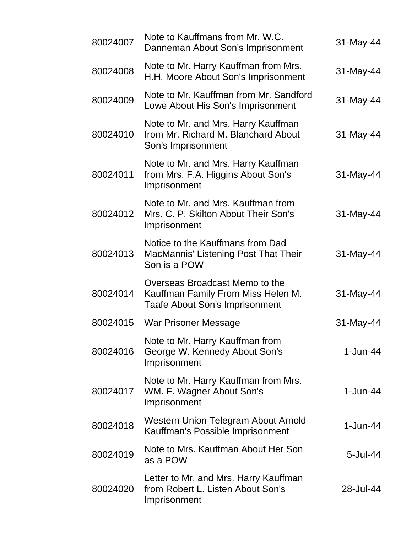| 80024007 | Note to Kauffmans from Mr. W.C.<br>Danneman About Son's Imprisonment                                   | 31-May-44       |
|----------|--------------------------------------------------------------------------------------------------------|-----------------|
| 80024008 | Note to Mr. Harry Kauffman from Mrs.<br>H.H. Moore About Son's Imprisonment                            | 31-May-44       |
| 80024009 | Note to Mr. Kauffman from Mr. Sandford<br>Lowe About His Son's Imprisonment                            | 31-May-44       |
| 80024010 | Note to Mr. and Mrs. Harry Kauffman<br>from Mr. Richard M. Blanchard About<br>Son's Imprisonment       | 31-May-44       |
| 80024011 | Note to Mr. and Mrs. Harry Kauffman<br>from Mrs. F.A. Higgins About Son's<br>Imprisonment              | 31-May-44       |
| 80024012 | Note to Mr. and Mrs. Kauffman from<br>Mrs. C. P. Skilton About Their Son's<br>Imprisonment             | 31-May-44       |
| 80024013 | Notice to the Kauffmans from Dad<br>MacMannis' Listening Post That Their<br>Son is a POW               | 31-May-44       |
| 80024014 | Overseas Broadcast Memo to the<br>Kauffman Family From Miss Helen M.<br>Taafe About Son's Imprisonment | 31-May-44       |
| 80024015 | War Prisoner Message                                                                                   | 31-May-44       |
| 80024016 | Note to Mr. Harry Kauffman from<br>George W. Kennedy About Son's<br>Imprisonment                       | $1 - Jun-44$    |
| 80024017 | Note to Mr. Harry Kauffman from Mrs.<br>WM. F. Wagner About Son's<br>Imprisonment                      | 1-Jun-44        |
| 80024018 | Western Union Telegram About Arnold<br>Kauffman's Possible Imprisonment                                | 1-Jun-44        |
| 80024019 | Note to Mrs. Kauffman About Her Son<br>as a POW                                                        | $5 -$ Jul $-44$ |
| 80024020 | Letter to Mr. and Mrs. Harry Kauffman<br>from Robert L. Listen About Son's<br>Imprisonment             | 28-Jul-44       |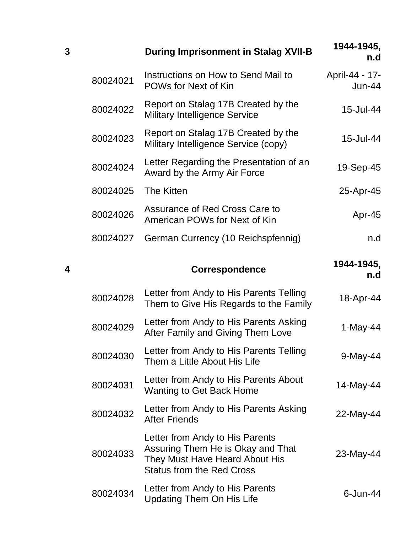| 3 |          | <b>During Imprisonment in Stalag XVII-B</b>                                       | 1944-1945,<br>n.d          |
|---|----------|-----------------------------------------------------------------------------------|----------------------------|
|   | 80024021 | Instructions on How to Send Mail to<br>POWs for Next of Kin                       | April-44 - 17-<br>$Jun-44$ |
|   | 80024022 | Report on Stalag 17B Created by the<br><b>Military Intelligence Service</b>       | 15-Jul-44                  |
|   | 80024023 | Report on Stalag 17B Created by the<br>Military Intelligence Service (copy)       | 15-Jul-44                  |
|   | 80024024 | Letter Regarding the Presentation of an<br>Award by the Army Air Force            | 19-Sep-45                  |
|   | 80024025 | The Kitten                                                                        | 25-Apr-45                  |
|   | 80024026 | Assurance of Red Cross Care to<br>American POWs for Next of Kin                   | Apr-45                     |
|   | 80024027 | German Currency (10 Reichspfennig)                                                | n.d                        |
|   |          |                                                                                   |                            |
| 4 |          | <b>Correspondence</b>                                                             | 1944-1945,<br>n.d          |
|   | 80024028 | Letter from Andy to His Parents Telling<br>Them to Give His Regards to the Family | 18-Apr-44                  |
|   | 80024029 | Letter from Andy to His Parents Asking<br>After Family and Giving Them Love       | 1-May-44                   |
|   | 80024030 | Letter from Andy to His Parents Telling<br>Them a Little About His Life           | 9-May-44                   |
|   | 80024031 | Letter from Andy to His Parents About<br><b>Wanting to Get Back Home</b>          | 14-May-44                  |
|   | 80024032 | Letter from Andy to His Parents Asking<br><b>After Friends</b>                    | 22-May-44                  |

80024034 Letter from Andy to His Parents Letter from Andy to his Farents<br>Updating Them On His Life 6-Jun-44

Status from the Red Cross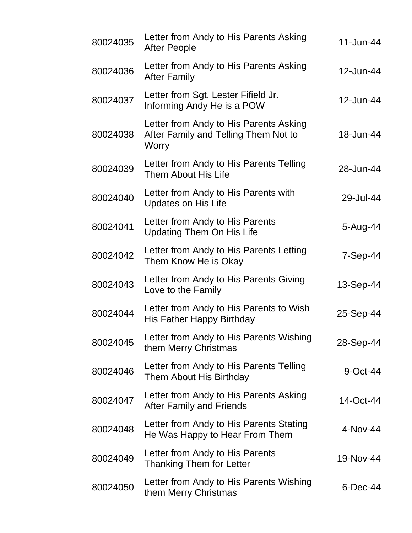| 80024035 | Letter from Andy to His Parents Asking<br><b>After People</b>                           | 11-Jun-44  |
|----------|-----------------------------------------------------------------------------------------|------------|
| 80024036 | Letter from Andy to His Parents Asking<br><b>After Family</b>                           | 12-Jun-44  |
| 80024037 | Letter from Sgt. Lester Fifield Jr.<br>Informing Andy He is a POW                       | 12-Jun-44  |
| 80024038 | Letter from Andy to His Parents Asking<br>After Family and Telling Them Not to<br>Worry | 18-Jun-44  |
| 80024039 | Letter from Andy to His Parents Telling<br>Them About His Life                          | 28-Jun-44  |
| 80024040 | Letter from Andy to His Parents with<br><b>Updates on His Life</b>                      | 29-Jul-44  |
| 80024041 | Letter from Andy to His Parents<br><b>Updating Them On His Life</b>                     | 5-Aug-44   |
| 80024042 | Letter from Andy to His Parents Letting<br>Them Know He is Okay                         | $7-Sep-44$ |
| 80024043 | Letter from Andy to His Parents Giving<br>Love to the Family                            | 13-Sep-44  |
| 80024044 | Letter from Andy to His Parents to Wish<br>His Father Happy Birthday                    | 25-Sep-44  |
| 80024045 | Letter from Andy to His Parents Wishing<br>them Merry Christmas                         | 28-Sep-44  |
| 80024046 | Letter from Andy to His Parents Telling<br>Them About His Birthday                      | 9-Oct-44   |
| 80024047 | Letter from Andy to His Parents Asking<br><b>After Family and Friends</b>               | 14-Oct-44  |
| 80024048 | Letter from Andy to His Parents Stating<br>He Was Happy to Hear From Them               | 4-Nov-44   |
| 80024049 | Letter from Andy to His Parents<br><b>Thanking Them for Letter</b>                      | 19-Nov-44  |
| 80024050 | Letter from Andy to His Parents Wishing<br>them Merry Christmas                         | 6-Dec-44   |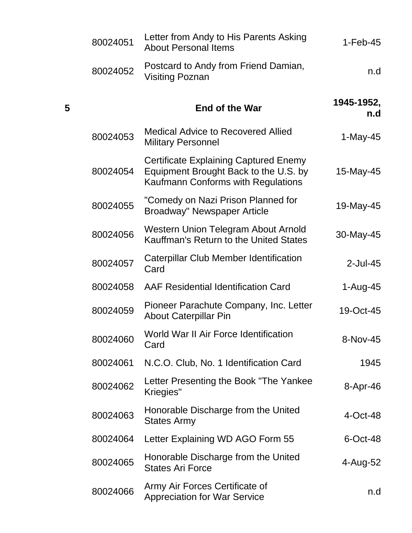|   | 80024051 | Letter from Andy to His Parents Asking<br><b>About Personal Items</b>                                                       | $1-Feb-45$        |
|---|----------|-----------------------------------------------------------------------------------------------------------------------------|-------------------|
|   | 80024052 | Postcard to Andy from Friend Damian,<br><b>Visiting Poznan</b>                                                              | n.d               |
| 5 |          | <b>End of the War</b>                                                                                                       | 1945-1952,<br>n.d |
|   | 80024053 | <b>Medical Advice to Recovered Allied</b><br><b>Military Personnel</b>                                                      | 1-May-45          |
|   | 80024054 | <b>Certificate Explaining Captured Enemy</b><br>Equipment Brought Back to the U.S. by<br>Kaufmann Conforms with Regulations | 15-May-45         |
|   | 80024055 | "Comedy on Nazi Prison Planned for<br>Broadway" Newspaper Article                                                           | 19-May-45         |
|   | 80024056 | Western Union Telegram About Arnold<br>Kauffman's Return to the United States                                               | 30-May-45         |
|   | 80024057 | Caterpillar Club Member Identification<br>Card                                                                              | $2$ -Jul-45       |
|   | 80024058 | <b>AAF Residential Identification Card</b>                                                                                  | 1-Aug-45          |
|   | 80024059 | Pioneer Parachute Company, Inc. Letter<br><b>About Caterpillar Pin</b>                                                      | 19-Oct-45         |
|   | 80024060 | World War II Air Force Identification<br>Card                                                                               | 8-Nov-45          |
|   | 80024061 | N.C.O. Club, No. 1 Identification Card                                                                                      | 1945              |
|   | 80024062 | Letter Presenting the Book "The Yankee"<br>Kriegies"                                                                        | 8-Apr-46          |
|   | 80024063 | Honorable Discharge from the United<br><b>States Army</b>                                                                   | 4-Oct-48          |
|   | 80024064 | Letter Explaining WD AGO Form 55                                                                                            | 6-Oct-48          |
|   | 80024065 | Honorable Discharge from the United<br><b>States Ari Force</b>                                                              | 4-Aug-52          |
|   | 80024066 | Army Air Forces Certificate of<br><b>Appreciation for War Service</b>                                                       | n.d               |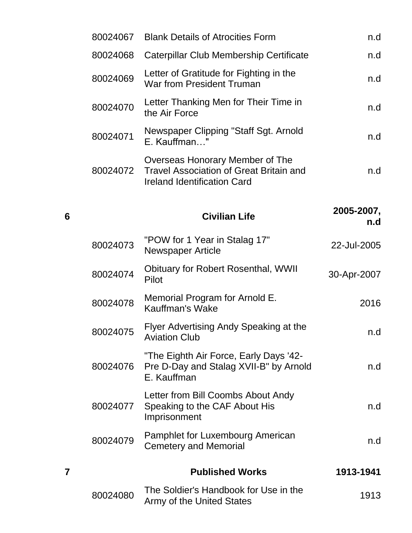|   |          | 80024067 Blank Details of Atrocities Form                                                                               | n.d               |
|---|----------|-------------------------------------------------------------------------------------------------------------------------|-------------------|
|   | 80024068 | Caterpillar Club Membership Certificate                                                                                 | n.d               |
|   | 80024069 | Letter of Gratitude for Fighting in the<br><b>War from President Truman</b>                                             | n.d               |
|   | 80024070 | Letter Thanking Men for Their Time in<br>the Air Force                                                                  | n.d               |
|   | 80024071 | Newspaper Clipping "Staff Sgt. Arnold<br>E. Kauffman"                                                                   | n.d               |
|   | 80024072 | Overseas Honorary Member of The<br><b>Travel Association of Great Britain and</b><br><b>Ireland Identification Card</b> | n.d               |
| 6 |          | <b>Civilian Life</b>                                                                                                    | 2005-2007,<br>n.d |
|   | 80024073 | "POW for 1 Year in Stalag 17"<br><b>Newspaper Article</b>                                                               | 22-Jul-2005       |
|   | 80024074 | <b>Obituary for Robert Rosenthal, WWII</b><br>Pilot                                                                     | 30-Apr-2007       |
|   | 80024078 | Memorial Program for Arnold E.<br><b>Kauffman's Wake</b>                                                                | 2016              |
|   | 80024075 | Flyer Advertising Andy Speaking at the<br><b>Aviation Club</b>                                                          | n.d               |
|   | 80024076 | "The Eighth Air Force, Early Days '42-<br>Pre D-Day and Stalag XVII-B" by Arnold<br>E. Kauffman                         | n.d               |
|   | 80024077 | Letter from Bill Coombs About Andy<br>Speaking to the CAF About His<br>Imprisonment                                     | n.d               |
|   | 80024079 | Pamphlet for Luxembourg American<br><b>Cemetery and Memorial</b>                                                        | n.d               |
| 7 |          | <b>Published Works</b>                                                                                                  | 1913-1941         |
|   | 80024080 | The Soldier's Handbook for Use in the<br>Army of the United States                                                      | 1913              |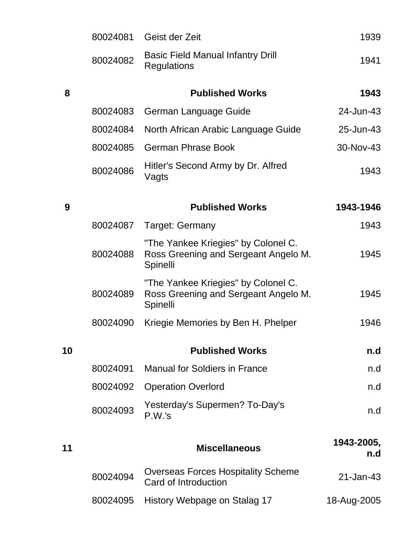|    | 80024081 | Geist der Zeit                                                                          | 1939              |
|----|----------|-----------------------------------------------------------------------------------------|-------------------|
|    | 80024082 | <b>Basic Field Manual Infantry Drill</b><br><b>Regulations</b>                          | 1941              |
| 8  |          | <b>Published Works</b>                                                                  | 1943              |
|    | 80024083 | German Language Guide                                                                   | 24-Jun-43         |
|    | 80024084 | North African Arabic Language Guide                                                     | 25-Jun-43         |
|    | 80024085 | <b>German Phrase Book</b>                                                               | 30-Nov-43         |
|    | 80024086 | Hitler's Second Army by Dr. Alfred<br>Vagts                                             | 1943              |
| 9  |          | <b>Published Works</b>                                                                  | 1943-1946         |
|    | 80024087 | <b>Target: Germany</b>                                                                  | 1943              |
|    | 80024088 | "The Yankee Kriegies" by Colonel C.<br>Ross Greening and Sergeant Angelo M.<br>Spinelli | 1945              |
|    | 80024089 | "The Yankee Kriegies" by Colonel C.<br>Ross Greening and Sergeant Angelo M.<br>Spinelli | 1945              |
|    | 80024090 | Kriegie Memories by Ben H. Phelper                                                      | 1946              |
| 10 |          | <b>Published Works</b>                                                                  | n.d               |
|    | 80024091 | <b>Manual for Soldiers in France</b>                                                    | n.d               |
|    | 80024092 | <b>Operation Overlord</b>                                                               | n.d               |
|    | 80024093 | Yesterday's Supermen? To-Day's<br>P.W.'s                                                | n.d               |
| 11 |          | <b>Miscellaneous</b>                                                                    | 1943-2005,<br>n.d |
|    | 80024094 | <b>Overseas Forces Hospitality Scheme</b><br>Card of Introduction                       | 21-Jan-43         |
|    | 80024095 | History Webpage on Stalag 17                                                            | 18-Aug-2005       |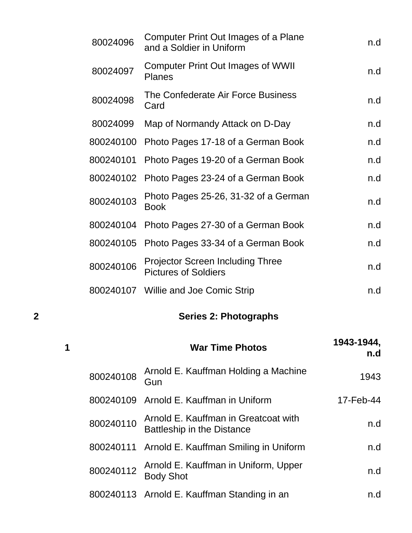| 80024096  | <b>Computer Print Out Images of a Plane</b><br>and a Soldier in Uniform | n.d |
|-----------|-------------------------------------------------------------------------|-----|
| 80024097  | <b>Computer Print Out Images of WWII</b><br><b>Planes</b>               | n.d |
| 80024098  | The Confederate Air Force Business<br>Card                              | n.d |
| 80024099  | Map of Normandy Attack on D-Day                                         | n.d |
| 800240100 | Photo Pages 17-18 of a German Book                                      | n.d |
| 800240101 | Photo Pages 19-20 of a German Book                                      | n.d |
| 800240102 | Photo Pages 23-24 of a German Book                                      | n.d |
| 800240103 | Photo Pages 25-26, 31-32 of a German<br><b>Book</b>                     | n.d |
| 800240104 | Photo Pages 27-30 of a German Book                                      | n.d |
| 800240105 | Photo Pages 33-34 of a German Book                                      | n.d |
| 800240106 | <b>Projector Screen Including Three</b><br><b>Pictures of Soldiers</b>  | n.d |
|           | 800240107 Willie and Joe Comic Strip                                    | n.d |
|           |                                                                         |     |

# **2 Series 2: Photographs**

| 1 |           | <b>War Time Photos</b>                                                    | 1943-1944,<br>n.d |
|---|-----------|---------------------------------------------------------------------------|-------------------|
|   | 800240108 | Arnold E. Kauffman Holding a Machine<br>Gun                               | 1943              |
|   |           | 800240109 Arnold E. Kauffman in Uniform                                   | $17$ -Feb-44      |
|   | 800240110 | Arnold E. Kauffman in Greatcoat with<br><b>Battleship in the Distance</b> | n.d               |
|   |           | 800240111 Arnold E. Kauffman Smiling in Uniform                           | n.d               |
|   | 800240112 | Arnold E. Kauffman in Uniform, Upper<br><b>Body Shot</b>                  | n.d               |
|   |           | 800240113 Arnold E. Kauffman Standing in an                               | n.d               |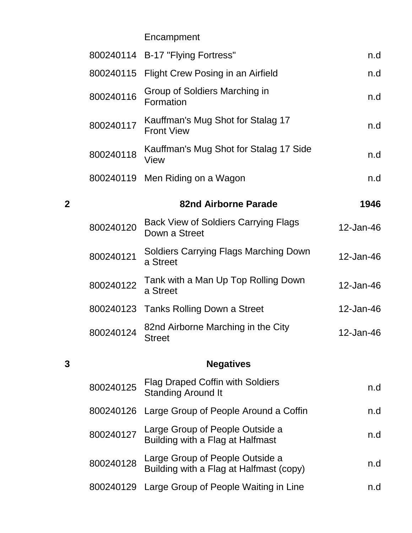|                |           | 800240114 B-17 "Flying Fortress"                                           | n.d       |
|----------------|-----------|----------------------------------------------------------------------------|-----------|
|                | 800240115 | Flight Crew Posing in an Airfield                                          | n.d       |
|                | 800240116 | Group of Soldiers Marching in<br>Formation                                 | n.d       |
|                | 800240117 | Kauffman's Mug Shot for Stalag 17<br><b>Front View</b>                     | n.d       |
|                | 800240118 | Kauffman's Mug Shot for Stalag 17 Side<br>View                             | n.d       |
|                |           | 800240119 Men Riding on a Wagon                                            | n.d       |
| $\overline{2}$ |           | 82nd Airborne Parade                                                       | 1946      |
|                | 800240120 | <b>Back View of Soldiers Carrying Flags</b><br>Down a Street               | 12-Jan-46 |
|                | 800240121 | Soldiers Carrying Flags Marching Down<br>a Street                          | 12-Jan-46 |
|                | 800240122 | Tank with a Man Up Top Rolling Down<br>a Street                            | 12-Jan-46 |
|                | 800240123 | <b>Tanks Rolling Down a Street</b>                                         | 12-Jan-46 |
|                | 800240124 | 82nd Airborne Marching in the City<br><b>Street</b>                        | 12-Jan-46 |
| 3              |           | <b>Negatives</b>                                                           |           |
|                | 800240125 | <b>Flag Draped Coffin with Soldiers</b><br><b>Standing Around It</b>       | n.d       |
|                | 800240126 | Large Group of People Around a Coffin                                      | n.d       |
|                | 800240127 | Large Group of People Outside a<br>Building with a Flag at Halfmast        | n.d       |
|                | 800240128 | Large Group of People Outside a<br>Building with a Flag at Halfmast (copy) | n.d       |
|                | 800240129 | Large Group of People Waiting in Line                                      | n.d       |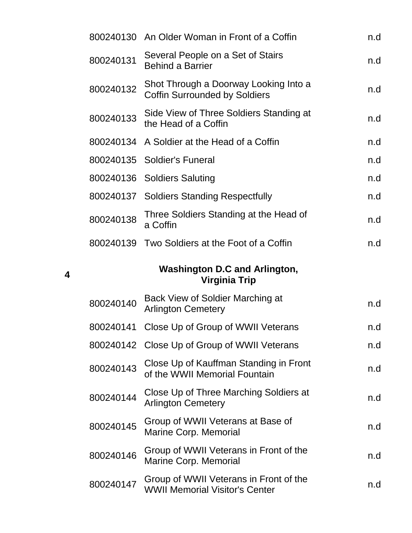|           | 800240130 An Older Woman in Front of a Coffin                                 | n.d |
|-----------|-------------------------------------------------------------------------------|-----|
| 800240131 | Several People on a Set of Stairs<br><b>Behind a Barrier</b>                  | n.d |
| 800240132 | Shot Through a Doorway Looking Into a<br><b>Coffin Surrounded by Soldiers</b> | n.d |
| 800240133 | Side View of Three Soldiers Standing at<br>the Head of a Coffin               | n.d |
|           | 800240134 A Soldier at the Head of a Coffin                                   | n.d |
|           | 800240135 Soldier's Funeral                                                   | n.d |
|           | 800240136 Soldiers Saluting                                                   | n.d |
|           | 800240137 Soldiers Standing Respectfully                                      | n.d |
| 800240138 | Three Soldiers Standing at the Head of<br>a Coffin                            | n.d |
|           | 800240139 Two Soldiers at the Foot of a Coffin                                | n.d |
|           |                                                                               |     |
|           | <b>Washington D.C and Arlington,</b><br>Virginia Trip                         |     |
| 800240140 | Back View of Soldier Marching at<br><b>Arlington Cemetery</b>                 | n.d |
| 800240141 | Close Up of Group of WWII Veterans                                            | n.d |
|           | 800240142 Close Up of Group of WWII Veterans                                  | n.d |
| 800240143 | Close Up of Kauffman Standing in Front<br>of the WWII Memorial Fountain       | n.d |
| 800240144 | Close Up of Three Marching Soldiers at<br><b>Arlington Cemetery</b>           | n.d |
| 800240145 | Group of WWII Veterans at Base of<br>Marine Corp. Memorial                    | n.d |
| 800240146 | Group of WWII Veterans in Front of the<br>Marine Corp. Memorial               | n.d |

**4**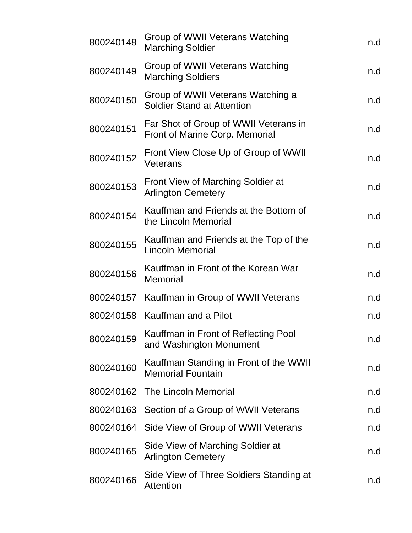| 800240148 | Group of WWII Veterans Watching<br><b>Marching Soldier</b>              | n.d |
|-----------|-------------------------------------------------------------------------|-----|
| 800240149 | Group of WWII Veterans Watching<br><b>Marching Soldiers</b>             | n.d |
| 800240150 | Group of WWII Veterans Watching a<br><b>Soldier Stand at Attention</b>  | n.d |
| 800240151 | Far Shot of Group of WWII Veterans in<br>Front of Marine Corp. Memorial | n.d |
| 800240152 | Front View Close Up of Group of WWII<br>Veterans                        | n.d |
| 800240153 | Front View of Marching Soldier at<br><b>Arlington Cemetery</b>          | n.d |
| 800240154 | Kauffman and Friends at the Bottom of<br>the Lincoln Memorial           | n.d |
| 800240155 | Kauffman and Friends at the Top of the<br><b>Lincoln Memorial</b>       | n.d |
| 800240156 | Kauffman in Front of the Korean War<br><b>Memorial</b>                  | n.d |
| 800240157 | Kauffman in Group of WWII Veterans                                      | n.d |
|           | 800240158 Kauffman and a Pilot                                          | n.d |
| 800240159 | Kauffman in Front of Reflecting Pool<br>and Washington Monument         | n.d |
| 800240160 | Kauffman Standing in Front of the WWII<br><b>Memorial Fountain</b>      | n.d |
|           | 800240162 The Lincoln Memorial                                          | n.d |
|           | 800240163 Section of a Group of WWII Veterans                           | n.d |
| 800240164 | Side View of Group of WWII Veterans                                     | n.d |
| 800240165 | Side View of Marching Soldier at<br><b>Arlington Cemetery</b>           | n.d |
| 800240166 | Side View of Three Soldiers Standing at<br><b>Attention</b>             | n.d |